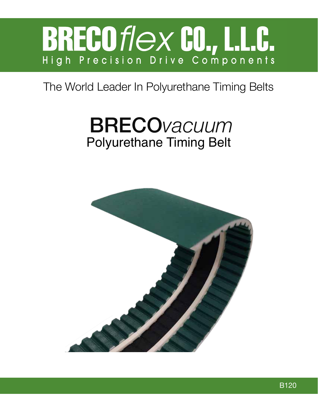

#### The World Leader In Polyurethane Timing Belts

# BRECO*vacuum* Polyurethane Timing Belt

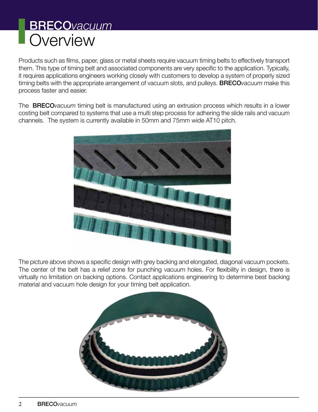#### BRECO*vacuum* **Overview**

Products such as films, paper, glass or metal sheets require vacuum timing belts to effectively transport them. This type of timing belt and associated components are very specific to the application. Typically, it requires applications engineers working closely with customers to develop a system of properly sized timing belts with the appropriate arrangement of vacuum slots, and pulleys. BRECO*vacuum* make this process faster and easier.

The BRECO*vacuum* timing belt is manufactured using an extrusion process which results in a lower costing belt compared to systems that use a multi step process for adhering the slide rails and vacuum channels. The system is currently available in 50mm and 75mm wide AT10 pitch.



The picture above shows a specific design with grey backing and elongated, diagonal vacuum pockets. The center of the belt has a relief zone for punching vacuum holes. For flexibility in design, there is virtually no limitation on backing options. Contact applications engineering to determine best backing material and vacuum hole design for your timing belt application.

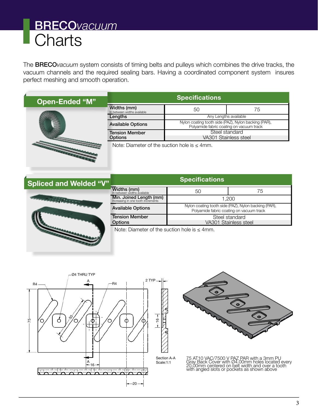## BRECO*vacuum* **Charts**

The BRECO*vacuum* system consists of timing belts and pulleys which combines the drive tracks, the vacuum channels and the required sealing bars. Having a coordinated component system insures perfect meshing and smooth operation.

**Open-Ended "M"** 



| Specifications                             |                                                                                                  |    |  |  |  |  |
|--------------------------------------------|--------------------------------------------------------------------------------------------------|----|--|--|--|--|
| Widths (mm)<br>In between widths available | 50                                                                                               | 75 |  |  |  |  |
| Lengths                                    | Any Lengths available                                                                            |    |  |  |  |  |
| <b>Available Options</b>                   | Nylon coating tooth side (PAZ), Nylon backing (PAR),<br>Polyamide fabric coating on vacuum track |    |  |  |  |  |
| <b>Tension Member</b><br><b>Options</b>    | Steel standard<br>VA301 Stainless steel                                                          |    |  |  |  |  |

Note: Diameter of the suction hole is  $\leq 4$ mm.

| <b>Spliced and Welded "V"</b> | <b>Specifications</b>                                         |                                                                                                  |    |  |  |
|-------------------------------|---------------------------------------------------------------|--------------------------------------------------------------------------------------------------|----|--|--|
|                               | <b>Widths (mm)</b><br>In between widths available             | 50                                                                                               | 75 |  |  |
| <b>CONTRACTOR</b> COMPANY     | Min. Joined Length (mm)<br>Increasing in one tooth increments | 1.200                                                                                            |    |  |  |
|                               | <b>Available Options</b>                                      | Nylon coating tooth side (PAZ), Nylon backing (PAR),<br>Polyamide fabric coating on vacuum track |    |  |  |
|                               | <b>Tension Member</b><br><b>Options</b>                       | Steel standard<br>VA301 Stainless steel                                                          |    |  |  |
|                               | Note: Diameter of the suction hole is $<$ 4mm                 |                                                                                                  |    |  |  |

Note: Diameter of the suction hole is  $\leq 4$ mm.





75 AT10 VAC/7500 V PAZ PAR with a 3mm PU Gray Back Cover with Ø4.00mm holes located every 20.00mm centered on belt width and over a tooth with angled slots or pockets as shown above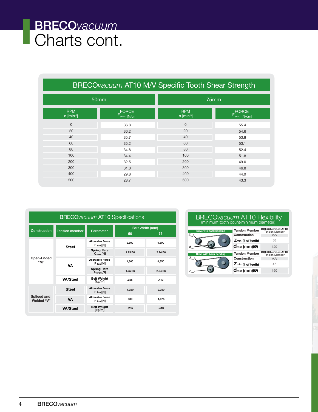## BRECO*vacuum* **Charts cont.**

|                                        | BRECOvacuum AT10 M/V Specific Tooth Shear Strength |                                        |                            |  |
|----------------------------------------|----------------------------------------------------|----------------------------------------|----------------------------|--|
|                                        | 50mm                                               |                                        | 75mm                       |  |
| <b>RPM</b><br>$n$ [min <sup>-3</sup> ] | $F_{\text{spec}}^{\text{FORCE}}$                   | <b>RPM</b><br>$n$ [min <sup>-3</sup> ] | $F_{\text{SPEC}}$ $[N/cm]$ |  |
| $\overline{0}$                         | 36.8                                               | $\Omega$                               | 55.4                       |  |
| 20                                     | 36.2                                               | 20                                     | 54.6                       |  |
| 40                                     | 35.7                                               | 40                                     | 53.8                       |  |
| 60                                     | 35.2                                               | 60                                     | 53.1                       |  |
| 80                                     | 34.8                                               | 80                                     | 52.4                       |  |
| 100                                    | 34.4                                               | 100                                    | 51.8                       |  |
| 200                                    | 32.5                                               | 200                                    | 49.0                       |  |
| 300                                    | 31.0                                               | 300                                    | 46.8                       |  |
| 400                                    | 29.8                                               | 400                                    | 44.9                       |  |
| 500                                    | 28.7                                               | 500                                    | 43.3                       |  |

| <b>BRECO</b> vacuum AT10 Specifications |                       |                                            |                             |         |  |
|-----------------------------------------|-----------------------|--------------------------------------------|-----------------------------|---------|--|
| Construction                            | <b>Tension member</b> | Parameter                                  | Belt Width (mm)<br>50<br>75 |         |  |
| Open-Ended<br>"M"                       | <b>Steel</b>          | <b>Allowable Force</b><br>$F$ Tzul[N]      | 2.500                       | 4,500   |  |
|                                         |                       | <b>Spring Rate</b><br>$C_{\text{Spec}}[N]$ | 1.25 E6                     | 2.24 E6 |  |
|                                         | VA                    | <b>Allowable Force</b><br>$F$ Tzul[N]      | 1,860                       | 3,350   |  |
|                                         |                       | <b>Spring Rate</b><br>$C_{\text{Spec}}[N]$ | 1.25 E6                     | 2.24 E6 |  |
|                                         | <b>VA/Steel</b>       | <b>Belt Weight</b><br>[kg/m]               | .255                        | .413    |  |
| Spliced and<br>Welded "V"               | <b>Steel</b>          | <b>Allowable Force</b><br>$F_{Tzul}[N]$    | 1,250                       | 2,250   |  |
|                                         | <b>VA</b>             | <b>Allowable Force</b><br>$F$ Tzul[N]      | 930                         | 1,675   |  |
|                                         | <b>VA/Steel</b>       | <b>Belt Weight</b><br>[kg/m]               | .255                        | .413    |  |

#### $Z_{\scriptscriptstyle{\mathsf{min}}}$  $\mathsf{d}_{_{\mathsf{min}}}$  $Z_{\rm min}$  $\mathsf{d}_{_{\sf min}}$ **Drive w/o back bending Drive with back bending Tension Member Construction Tension Member Construction Zmin (# of teeth) dmin (mm) (Ø) BRECO***vacuum* **AT10** Tension Member M/V **BRECO***vacuum* **AT10** Tension Member M/V 38 120 47 150 **Zmin (# of teeth) dmin (mm) (Ø)** BRECO*vacuum* AT10 Flexibility (minimum tooth count/minimum diameter)

**1,860 3,350**